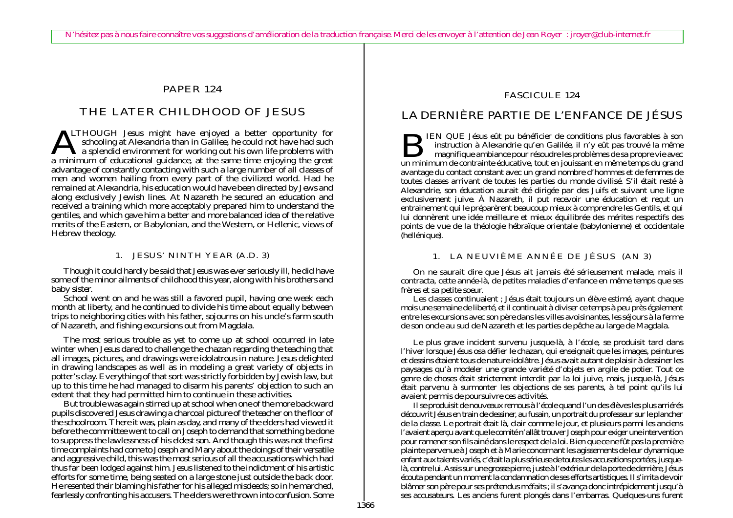## PAPER 124

# THE LATER CHILDHOOD OF JESUS

**ALTHOUGH** Jesus might have enjoyed a better opportunity for schooling at Alexandria than in Galilee, he could not have had such a splendid environment for working out his own life problems with schooling at Alexandria than in Galilee, he could not have had such a splendid environment for working out his own life problems with a minimum of educational guidance, at the same time enjoying the great advantage of constantly contacting with such a large number of all classes of men and women hailing from every part of the civilized world. Had he remained at Alexandria, his education would have been directed by Jews and along exclusively Jewish lines. At Nazareth he secured an education and received a training which more acceptably prepared him to understand the gentiles, and which gave him a better and more balanced idea of the relative merits of the Eastern, or Babylonian, and the Western, or Hellenic, views of Hebrew theology.

#### 1. JESUS' NINTH YEAR (A.D. 3)

Though it could hardly be said that Jesus was ever seriously ill, he did have some of the minor ailments of childhood this year, along with his brothers and baby sister.

School went on and he was still a favored pupil, having one week each month at liberty, and he continued to divide his time about equally between trips to neighboring cities with his father, sojourns on his uncle's farm south of Nazareth, and fishing excursions out from Magdala.

The most serious trouble as yet to come up at school occurred in late winter when Jesus dared to challenge the chazan regarding the teaching that all images, pictures, and drawings were idolatrous in nature. Jesus delighted in drawing landscapes as well as in modeling a great variety of objects in potter's clay. Everything of that sort was strictly forbidden by Jewish law, but up to this time he had managed to disarm his parents' objection to such an extent that they had permitted him to continue in these activities.

But trouble was again stirred up at school when one of the more backward pupils discovered Jesus drawing a charcoal picture of the teacher on the floor of the schoolroom. There it was, plain as day, and many of the elders had viewed it before the committee went to call on Joseph to demand that something be done to suppress the lawlessness of his eldest son. And though this was not the first time complaints had come to Joseph and Mary about the doings of their versatile and aggressive child, this was the most serious of all the accusations which had thus far been lodged against him. Jesus listened to the indictment of his artistic efforts for some time, being seated on a large stone just outside the back door. He resented their blaming his father for his alleged misdeeds; so in he marched, fearlessly confronting his accusers. The elders were thrown into confusion. Some

## FASCICULE 124

# LA DERNIÈRE PARTIE DE L'ENFANCE DE JÉSUS

BIEN QUE Jésus eût pu bénéficier de conditions plus favorables à son instruction à Alexandrie qu'en Galilée, il n'y eût pas trouvé la même magnifique ambiance pour résoudre les problèmes de sa propre vie avec un minimum de contrainte éducative, tout en jouissant en même temps du grand avantage du contact constant avec un grand nombre d'hommes et de femmes de toutes classes arrivant de toutes les parties du monde civilisé. S'il était resté à exclusivement juive. À Nazareth, il put recevoir une éducation et reçut un entrainement qui le préparèrent beaucoup mieux à comprendre les Gentils, et qui lui donnèrent une idée meilleure et mieux équilibrée des mérites respectifs des points de vue de la théologie hébraïque orientale (babylonienne) et occidentale (hellénique).

#### 1. LA NEUVIÈME ANNÉE DE JÉSUS (AN 3)

On ne saurait dire que Jésus ait jamais été sérieusement malade, mais il contracta, cette année-là, de petites maladies d'enfance en même temps que ses frères et sa petite soeur.

Les classes continuaient ; Jésus était toujours un élève estimé, ayant chaque mois une semaine de liberté, et il continuait à diviser ce temps à peu près également entre les excursions avec son père dans les villes avoisinantes, les séjours à la ferme de son oncle au sud de Nazareth et les parties de pêche au large de Magdala.

Le plus grave incident survenu jusque-là, à l'école, se produisit tard dans l'hiver lorsque Jésus osa défier le chazan, qui enseignait que les images, peintures et dessins étaient tous de nature idolâtre. Jésus avait autant de plaisir à dessiner les paysages qu'à modeler une grande variété d'objets en argile de potier. Tout ce genre de choses était strictement interdit par la loi juive, mais, jusque-là, Jésus était parvenu à surmonter les objections de ses parents, à tel point qu'ils lui avaient permis de poursuivre ces activités.

Il se produisit de nouveaux remous à l'école quand l'un des élèves les plus arriérés découvrit Jésus en train de dessiner, au fusain, un portrait du professeur sur le plancher de la classe. Le portrait était là, clair comme le jour, et plusieurs parmi les anciens l'avaient aperçu avant que le comité n'allât trouver Joseph pour exiger une intervention pour ramener son fils ainé dans le respect de la loi. Bien que ce ne fût pas la première plainte parvenue à Joseph et à Marie concernant les agissements de leur dynamique enfant aux talents variés, c'était la plus sérieuse de toutes les accusations portées, jusquelà, contre lui. Assis sur une grosse pierre, juste à l'extérieur de la porte de derrière, Jésus écouta pendant un moment la condamnation de ses efforts artistiques. Il s'irrita de voir blâmer son père pour ses prétendus méfaits ; il s'avança donc intrépidement jusqu'à ses accusateurs. Les anciens furent plongés dans l'embarras. Quelques-uns furent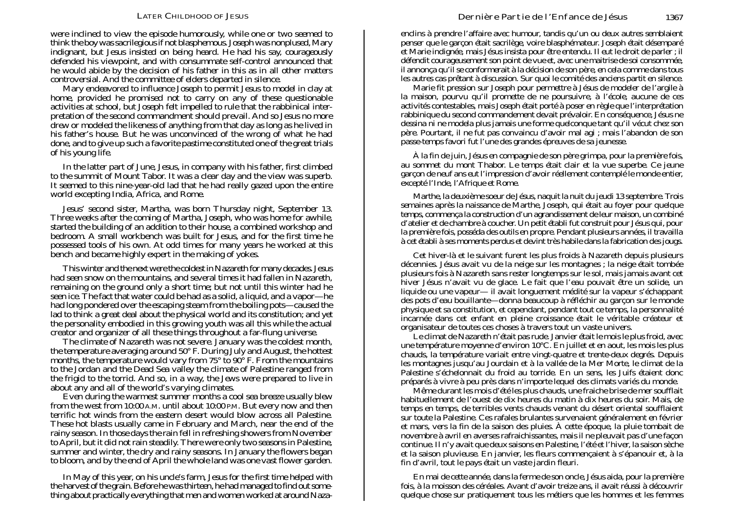were inclined to view the episode humorously, while one or two seemed to think the boy was sacrilegious if not blasphemous. Joseph was nonplused, Mary indignant, but Jesus insisted on being heard. He had his say, courageously defended his viewpoint, and with consummate self-control announced that he would abide by the decision of his father in this as in all other matters controversial. And the committee of elders departed in silence.

Mary endeavored to influence Joseph to permit Jesus to model in clay at home, provided he promised not to carry on any of these questionable activities at school, but Joseph felt impelled to rule that the rabbinical interpretation of the second commandment should prevail. And so Jesus no more drew or modeled the likeness of anything from that day as long as he lived in his father's house. But he was unconvinced of the wrong of what he had done, and to give up such a favorite pastime constituted one of the great trials of his young life.

In the latter part of June, Jesus, in company with his father, first climbed to the summit of Mount Tabor. It was a clear day and the view was superb. It seemed to this nine-year-old lad that he had really gazed upon the entire world excepting India, Africa, and Rome.

Jesus' second sister, Martha, was born Thursday night, September 13. Three weeks after the coming of Martha, Joseph, who was home for awhile, started the building of an addition to their house, a combined workshop and bedroom. A small workbench was built for Jesus, and for the first time he possessed tools of his own. At odd times for many years he worked at this bench and became highly expert in the making of yokes.

This winter and the next were the coldest in Nazareth for many decades. Jesus had seen snow on the mountains, and several times it had fallen in Nazareth, remaining on the ground only a short time; but not until this winter had he seen ice. The fact that water could be had as a solid, a liquid, and a vapor—he had long pondered over the escaping steam from the boiling pots—caused the lad to think a great deal about the physical world and its constitution; and yet the personality embodied in this growing youth was all this while the actual creator and organizer of all these things throughout a far-flung universe.

The climate of Nazareth was not severe. January was the coldest month, the temperature averaging around 50° F. During July and August, the hottest months, the temperature would vary from 75° to 90° F. From the mountains to the Jordan and the Dead Sea valley the climate of Palestine ranged from the frigid to the torrid. And so, in a way, the Jews were prepared to live in about any and all of the world's varying climates.

Even during the warmest summer months a cool sea breeze usually blew from the west from 10:00 A.M. until about 10:00 P.M. But every now and then terrific hot winds from the eastern desert would blow across all Palestine. These hot blasts usually came in February and March, near the end of the rainy season. In those days the rain fell in refreshing showers from November to April, but it did not rain steadily. There were only two seasons in Palestine, summer and winter, the dry and rainy seasons. In January the flowers began to bloom, and by the end of April the whole land was one vast flower garden.

In May of this year, on his uncle's farm, Jesus for the first time helped with the harvest of the grain. Before he was thirteen, he had managed to find out something about practically everything that men and women worked at around Nazaenclins à prendre l'affaire avec humour, tandis qu'un ou deux autres semblaient penser que le garçon était sacrilège, voire blasphémateur. Joseph était désemparé et Marie indignée, mais Jésus insista pour être entendu. Il eut le droit de parler ; il défendit courageusement son point de vue et, avec une maitrise de soi consommée, il annonça qu'il se conformerait à la décision de son père, en cela comme dans tous les autres cas prêtant à discussion. Sur quoi le comité des anciens partit en silence.

Marie fit pression sur Joseph pour permettre à Jésus de modeler de l'argile à la maison, pourvu qu'il promette de ne poursuivre, à l'école, aucune de ces activités contestables, mais Joseph était porté à poser en règle que l'interprétation rabbinique du second commandement devait prévaloir. En conséquence, Jésus ne dessina ni ne modela plus jamais une forme quelconque tant qu'il vécut chez son père. Pourtant, il ne fut pas convaincu d'avoir mal agi ; mais l'abandon de son passe-temps favori fut l'une des grandes épreuves de sa jeunesse.

À la fin de juin, Jésus en compagnie de son père grimpa, pour la première fois, au sommet du mont Thabor. Le temps était clair et la vue superbe. Ce jeune garçon de neuf ans eut l'impression d'avoir réellement contemplé le monde entier, excepté l'Inde, l'Afrique et Rome.

Marthe, la deuxième soeur de Jésus, naquit la nuit du jeudi 13 septembre. Trois semaines après la naissance de Marthe, Joseph, qui était au foyer pour quelque temps, commença la construction d'un agrandissement de leur maison, un combiné d'atelier et de chambre à coucher. Un petit établi fut construit pour Jésus qui, pour la première fois, posséda des outils en propre. Pendant plusieurs années, il travailla à cet établi à ses moments perdus et devint très habile dans la fabrication des jougs.

Cet hiver-là et le suivant furent les plus froids à Nazareth depuis plusieurs décennies. Jésus avait vu de la neige sur les montagnes ; la neige était tombée plusieurs fois à Nazareth sans rester longtemps sur le sol, mais jamais avant cet hiver Jésus n'avait vu de glace. Le fait que l'eau pouvait être un solide, un liquide ou une vapeur— il avait longuement médité sur la vapeur s'échappant des pots d'eau bouillante—donna beaucoup à réfléchir au garçon sur le monde physique et sa constitution, et cependant, pendant tout ce temps, la personnalité incarnée dans cet enfant en pleine croissance était le véritable créateur et organisateur de toutes ces choses à travers tout un vaste univers.

Le climat de Nazareth n'était pas rude. Janvier était le mois le plus froid, avec une température moyenne d'environ 10°C. En juillet et en aout, les mois les plus chauds, la température variait entre vingt-quatre et trente-deux degrés. Depuis les montagnes jusqu'au Jourdain et à la vallée de la Mer Morte, le climat de la Palestine s'échelonnait du froid au torride. En un sens, les Juifs étaient donc préparés à vivre à peu près dans n'importe lequel des climats variés du monde.

Même durant les mois d'été les plus chauds, une fraiche brise de mer soufflait habituellement de l'ouest de dix heures du matin à dix heures du soir. Mais, de temps en temps, de terribles vents chauds venant du désert oriental soufflaient sur toute la Palestine. Ces rafales brulantes survenaient généralement en février et mars, vers la fin de la saison des pluies. À cette époque, la pluie tombait de novembre à avril en averses rafraichissantes, mais il ne pleuvait pas d'une façon continue. Il n'y avait que deux saisons en Palestine, l'été et l'hiver, la saison sèche et la saison pluvieuse. En janvier, les fleurs commençaient à s'épanouir et, à la fin d'avril, tout le pays était un vaste jardin fleuri.

En mai de cette année, dans la ferme de son oncle, Jésus aida, pour la première fois, à la moisson des céréales. Avant d'avoir treize ans, il avait réussi à découvrir quelque chose sur pratiquement tous les métiers que les hommes et les femmes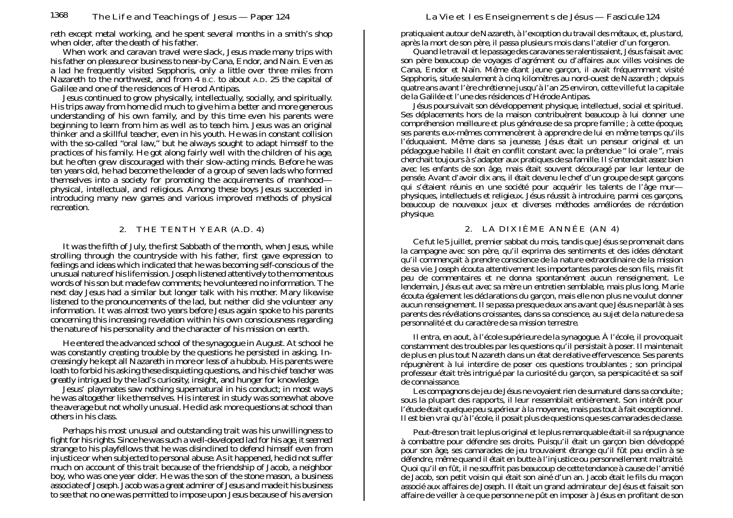reth except metal working, and he spent several months in a smith's shop when older, after the death of his father.

When work and caravan travel were slack, Jesus made many trips with his father on pleasure or business to near-by Cana, Endor, and Nain. Even as a lad he frequently visited Sepphoris, only a little over three miles from Nazareth to the northwest, and from 4 B.C. to about A.D. 25 the capital of Galilee and one of the residences of Herod Antipas.

Jesus continued to grow physically, intellectually, socially, and spiritually. His trips away from home did much to give him a better and more generous understanding of his own family, and by this time even his parents were beginning to learn from him as well as to teach him. Jesus was an original thinker and a skillful teacher, even in his youth. He was in constant collision with the so-called "oral law," but he always sought to adapt himself to the practices of his family. He got along fairly well with the children of his age, but he often grew discouraged with their slow-acting minds. Before he was ten years old, he had become the leader of a group of seven lads who formed themselves into a society for promoting the acquirements of manhood physical, intellectual, and religious. Among these boys Jesus succeeded in introducing many new games and various improved methods of physical recreation.

#### 2. THE TENTH YEAR (A.D. 4)

It was the fifth of July, the first Sabbath of the month, when Jesus, while strolling through the countryside with his father, first gave expression to feelings and ideas which indicated that he was becoming self-conscious of the unusual nature of his life mission. Joseph listened attentively to the momentous words of his son but made few comments; he volunteered no information. The next day Jesus had a similar but longer talk with his mother. Mary likewise listened to the pronouncements of the lad, but neither did she volunteer any information. It was almost two years before Jesus again spoke to his parents concerning this increasing revelation within his own consciousness regarding the nature of his personality and the character of his mission on earth.

He entered the advanced school of the synagogue in August. At school he was constantly creating trouble by the questions he persisted in asking. Increasingly he kept all Nazareth in more or less of a hubbub. His parents were loath to forbid his asking these disquieting questions, and his chief teacher was greatly intrigued by the lad's curiosity, insight, and hunger for knowledge.

Jesus' playmates saw nothing supernatural in his conduct; in most ways he was altogether like themselves. His interest in study was somewhat above the average but not wholly unusual. He did ask more questions at school than others in his class.

Perhaps his most unusual and outstanding trait was his unwillingness to fight for his rights. Since he was such a well-developed lad for his age, it seemed strange to his playfellows that he was disinclined to defend himself even from injustice or when subjected to personal abuse. As it happened, he did not suffer much on account of this trait because of the friendship of Jacob, a neighbor boy, who was one year older. He was the son of the stone mason, a business associate of Joseph. Jacob was a great admirer of Jesus and made it his business to see that no one was permitted to impose upon Jesus because of his aversion

pratiquaient autour de Nazareth, à l'exception du travail des métaux, et, plus tard, après la mort de son père, il passa plusieurs mois dans l'atelier d'un forgeron.

Quand le travail et le passage des caravanes se ralentissaient, Jésus faisait avec son père beaucoup de voyages d'agrément ou d'affaires aux villes voisines de Cana, Endor et Naïn. Même étant jeune garçon, il avait fréquemment visité Sepphoris, située seulement à cinq kilomètres au nord-ouest de Nazareth ; depuis quatre ans avant l'ère chrétienne jusqu'à l'an 25 environ, cette ville fut la capitale de la Galilée et l'une des résidences d'Hérode Antipas.

Jésus poursuivait son développement physique, intellectuel, social et spirituel. Ses déplacements hors de la maison contribuèrent beaucoup à lui donner une compréhension meilleure et plus généreuse de sa propre famille ; à cette époque, ses parents eux-mêmes commencèrent à apprendre de lui en même temps qu'ils l'éduquaient. Même dans sa jeunesse, Jésus était un penseur original et un pédagogue habile. Il était en conflit constant avec la prétendue " loi orale ", mais cherchait toujours à s'adapter aux pratiques de sa famille. Il s'entendait assez bien avec les enfants de son âge, mais était souvent découragé par leur lenteur de pensée. Avant d'avoir dix ans, il était devenu le chef d'un groupe de sept garçons qui s'étaient réunis en une société pour acquérir les talents de l'âge mur physiques, intellectuels et religieux. Jésus réussit à introduire, parmi ces garçons, beaucoup de nouveaux jeux et diverses méthodes améliorées de récréation physique.

#### 2. LA DIXIÈME ANNÉE (AN 4)

Ce fut le 5 juillet, premier sabbat du mois, tandis que Jésus se promenait dans la campagne avec son père, qu'il exprima des sentiments et des idées dénotant qu'il commençait à prendre conscience de la nature extraordinaire de la mission de sa vie. Joseph écouta attentivement les importantes paroles de son fils, mais fit peu de commentaires et ne donna spontanément aucun renseignement. Le lendemain, Jésus eut avec sa mère un entretien semblable, mais plus long. Marie écouta également les déclarations du garçon, mais elle non plus ne voulut donner aucun renseignement. Il se passa presque deux ans avant que Jésus ne parlât à ses parents des révélations croissantes, dans sa conscience, au sujet de la nature de sa personnalité et du caractère de sa mission terrestre.

Il entra, en aout, à l'école supérieure de la synagogue. À l'école, il provoquait constamment des troubles par les questions qu'il persistait à poser. Il maintenait de plus en plus tout Nazareth dans un état de relative effervescence. Ses parents répugnèrent à lui interdire de poser ces questions troublantes ; son principal professeur était très intrigué par la curiosité du garçon, sa perspicacité et sa soif de connaissance.

Les compagnons de jeu de Jésus ne voyaient rien de surnaturel dans sa conduite ; sous la plupart des rapports, il leur ressemblait entièrement. Son intérêt pour l'étude était quelque peu supérieur à la moyenne, mais pas tout à fait exceptionnel. Il est bien vrai qu'à l'école, il posait plus de questions que ses camarades de classe.

Peut-être son trait le plus original et le plus remarquable était-il sa répugnance à combattre pour défendre ses droits. Puisqu'il était un garçon bien développé pour son âge, ses camarades de jeu trouvaient étrange qu'il fût peu enclin à se défendre, même quand il était en butte à l'injustice ou personnellement maltraité. Quoi qu'il en fût, il ne souffrit pas beaucoup de cette tendance à cause de l'amitié de Jacob, son petit voisin qui était son ainé d'un an. Jacob était le fils du maçon associé aux affaires de Joseph. Il était un grand admirateur de Jésus et faisait son affaire de veiller à ce que personne ne pût en imposer à Jésus en profitant de son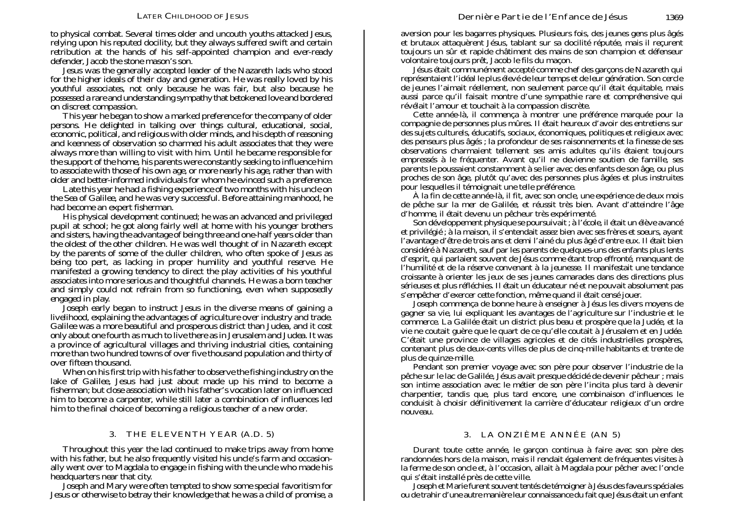to physical combat. Several times older and uncouth youths attacked Jesus, relying upon his reputed docility, but they always suffered swift and certain retribution at the hands of his self-appointed champion and ever-ready defender, Jacob the stone mason's son.

Jesus was the generally accepted leader of the Nazareth lads who stood for the higher ideals of their day and generation. He was really loved by his youthful associates, not only because he was fair, but also because he possessed a rare and understanding sympathy that betokened love and bordered on discreet compassion.

This year he began to show a marked preference for the company of older persons. He delighted in talking over things cultural, educational, social, economic, political, and religious with older minds, and his depth of reasoning and keenness of observation so charmed his adult associates that they were always more than willing to visit with him. Until he became responsible for the support of the home, his parents were constantly seeking to influence him to associate with those of his own age, or more nearly his age, rather than with older and better-informed individuals for whom he evinced such a preference.

Late this year he had a fishing experience of two months with his uncle on the Sea of Galilee, and he was very successful. Before attaining manhood, he had become an expert fisherman.

His physical development continued; he was an advanced and privileged pupil at school; he got along fairly well at home with his younger brothers and sisters, having the advantage of being three and one-half years older than the oldest of the other children. He was well thought of in Nazareth except by the parents of some of the duller children, who often spoke of Jesus as being too pert, as lacking in proper humility and youthful reserve. He manifested a growing tendency to direct the play activities of his youthful associates into more serious and thoughtful channels. He was a born teacher and simply could not refrain from so functioning, even when supposedly engaged in play.

Joseph early began to instruct Jesus in the diverse means of gaining a livelihood, explaining the advantages of agriculture over industry and trade. Galilee was a more beautiful and prosperous district than Judea, and it cost only about one fourth as much to live there as in Jerusalem and Judea. It was a province of agricultural villages and thriving industrial cities, containing more than two hundred towns of over five thousand population and thirty of over fifteen thousand.

When on his first trip with his father to observe the fishing industry on the lake of Galilee, Jesus had just about made up his mind to become a fisherman; but close association with his father's vocation later on influenced him to become a carpenter, while still later a combination of influences led him to the final choice of becoming a religious teacher of a new order.

#### 3. THE ELEVENTH YEAR (A.D. 5)

Throughout this year the lad continued to make trips away from home with his father, but he also frequently visited his uncle's farm and occasionally went over to Magdala to engage in fishing with the uncle who made his headquarters near that city.

Joseph and Mary were often tempted to show some special favoritism for Jesus or otherwise to betray their knowledge that he was a child of promise, a aversion pour les bagarres physiques. Plusieurs fois, des jeunes gens plus âgés et brutaux attaquèrent Jésus, tablant sur sa docilité réputée, mais il reçurent toujours un sûr et rapide châtiment des mains de son champion et défenseur volontaire toujours prêt, Jacob le fils du maçon.

Jésus était communément accepté comme chef des garçons de Nazareth qui représentaient l'idéal le plus élevé de leur temps et de leur génération. Son cercle de jeunes l'aimait réellement, non seulement parce qu'il était équitable, mais aussi parce qu'il faisait montre d'une sympathie rare et compréhensive qui révélait l'amour et touchait à la compassion discrète.

Cette année-là, il commença à montrer une préférence marquée pour la compagnie de personnes plus mûres. Il était heureux d'avoir des entretiens sur des sujets culturels, éducatifs, sociaux, économiques, politiques et religieux avec des penseurs plus âgés ; la profondeur de ses raisonnements et la finesse de ses observations charmaient tellement ses amis adultes qu'ils étaient toujours empressés à le fréquenter. Avant qu'il ne devienne soutien de famille, ses parents le poussaient constamment à se lier avec des enfants de son âge, ou plus proches de son âge, plutôt qu'avec des personnes plus âgées et plus instruites

À la fin de cette année-là, il fit, avec son oncle, une expérience de deux mois de pêche sur la mer de Galilée, et réussit très bien. Avant d'atteindre l'âge d'homme, il était devenu un pêcheur très expérimenté.

Son développement physique se poursuivait ; à l'école, il était un élève avancé et privilégié ; à la maison, il s'entendait assez bien avec ses frères et soeurs, ayant l'avantage d'être de trois ans et demi l'ainé du plus âgé d'entre eux. Il était bien considéré à Nazareth, sauf par les parents de quelques-uns des enfants plus lents d'esprit, qui parlaient souvent de Jésus comme étant trop effronté, manquant de l'humilité et de la réserve convenant à la jeunesse. Il manifestait une tendance croissante à orienter les jeux de ses jeunes camarades dans des directions plus sérieuses et plus réfléchies. Il était un éducateur né et ne pouvait absolument pas s'empêcher d'exercer cette fonction, même quand il était censé jouer.

Joseph commença de bonne heure à enseigner à Jésus les divers moyens de gagner sa vie, lui expliquant les avantages de l'agriculture sur l'industrie et le commerce. La Galilée était un district plus beau et prospère que la Judée, et la vie ne coutait guère que le quart de ce qu'elle coutait à Jérusalem et en Judée. C'était une province de villages agricoles et de cités industrielles prospères, contenant plus de deux-cents villes de plus de cinq-mille habitants et trente de plus de quinze-mille.

Pendant son premier voyage avec son père pour observer l'industrie de la pêche sur le lac de Galilée, Jésus avait presque décidé de devenir pêcheur ; mais son intime association avec le métier de son père l'incita plus tard à devenir charpentier, tandis que, plus tard encore, une combinaison d'influences le conduisit à choisir définitivement la carrière d'éducateur religieux d'un ordre nouveau.

#### 3. LA ONZIÈME ANNÉE (AN 5)

Durant toute cette année, le garçon continua à faire avec son père des randonnées hors de la maison, mais il rendait également de fréquentes visites à la ferme de son oncle et, à l'occasion, allait à Magdala pour pêcher avec l'oncle qui s'était installé près de cette ville.

Joseph et Marie furent souvent tentés de témoigner à Jésus des faveurs spéciales ou de trahir d'une autre manière leur connaissance du fait que Jésus était un enfant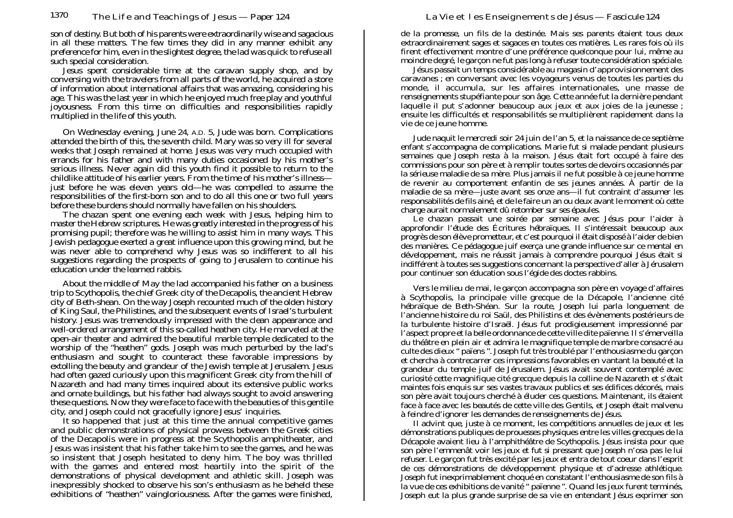son of destiny. But both of his parents were extraordinarily wise and sagacious in all these matters. The few times they did in any manner exhibit any preference for him, even in the slightest degree, the lad was quick to refuse all such special consideration.

Jesus spent considerable time at the caravan supply shop, and by conversing with the travelers from all parts of the world, he acquired a store of information about international affairs that was amazing, considering his age. This was the last year in which he enjoyed much free play and youthful joyousness. From this time on difficulties and responsibilities rapidly multiplied in the life of this youth.

On Wednesday evening, June 24, A.D. 5, Jude was born. Complications attended the birth of this, the seventh child. Mary was so very ill for several weeks that Joseph remained at home. Jesus was very much occupied with errands for his father and with many duties occasioned by his mother's serious illness. Never again did this youth find it possible to return to the childlike attitude of his earlier years. From the time of his mother's illness just before he was eleven years old—he was compelled to assume the responsibilities of the first-born son and to do all this one or two full years before these burdens should normally have fallen on his shoulders.

The chazan spent one evening each week with Jesus, helping him to master the Hebrew scriptures. He was greatly interested in the progress of his promising pupil; therefore was he willing to assist him in many ways. This Jewish pedagogue exerted a great influence upon this growing mind, but he was never able to comprehend why Jesus was so indifferent to all his suggestions regarding the prospects of going to Jerusalem to continue his education under the learned rabbis.

About the middle of May the lad accompanied his father on a business trip to Scythopolis, the chief Greek city of the Decapolis, the ancient Hebrew city of Beth-shean. On the way Joseph recounted much of the olden history of King Saul, the Philistines, and the subsequent events of Israel's turbulent history. Jesus was tremendously impressed with the clean appearance and well-ordered arrangement of this so-called heathen city. He marveled at the open-air theater and admired the beautiful marble temple dedicated to the worship of the "heathen" gods. Joseph was much perturbed by the lad's enthusiasm and sought to counteract these favorable impressions by extolling the beauty and grandeur of the Jewish temple at Jerusalem. Jesus had often gazed curiously upon this magnificent Greek city from the hill of Nazareth and had many times inquired about its extensive public works and ornate buildings, but his father had always sought to avoid answering these questions. Now they were face to face with the beauties of this gentile city, and Joseph could not gracefully ignore Jesus' inquiries.

It so happened that just at this time the annual competitive games and public demonstrations of physical prowess between the Greek cities of the Decapolis were in progress at the Scythopolis amphitheater, and Jesus was insistent that his father take him to see the games, and he was so insistent that Joseph hesitated to deny him. The boy was thrilled with the games and entered most heartily into the spirit of the demonstrations of physical development and athletic skill. Joseph was inexpressibly shocked to observe his son's enthusiasm as he beheld these exhibitions of "heathen" vaingloriousness. After the games were finished,

de la promesse, un fils de la destinée. Mais ses parents étaient tous deux extraordinairement sages et sagaces en toutes ces matières. Les rares fois où ils firent effectivement montre d'une préférence quelconque pour lui, même au moindre degré, le garçon ne fut pas long à refuser toute considération spéciale.

Jésus passait un temps considérable au magasin d'approvisionnement des caravanes ; en conversant avec les voyageurs venus de toutes les parties du monde, il accumula, sur les affaires internationales, une masse de renseignements stupéfiante pour son âge. Cette année fut la dernière pendant laquelle il put s'adonner beaucoup aux jeux et aux joies de la jeunesse ; ensuite les difficultés et responsabilités se multiplièrent rapidement dans la vie de ce jeune homme.

Jude naquit le mercredi soir 24 juin de l'an 5, et la naissance de ce septième enfant s'accompagna de complications. Marie fut si malade pendant plusieurs semaines que Joseph resta à la maison. Jésus était fort occupé à faire des commissions pour son père et à remplir toutes sortes de devoirs occasionnés par la sérieuse maladie de sa mère. Plus jamais il ne fut possible à ce jeune homme de revenir au comportement enfantin de ses jeunes années. À partir de la maladie de sa mère—juste avant ses onze ans—il fut contraint d'assumer les responsabilités de fils ainé, et de le faire un an ou deux avant le moment où cette charge aurait normalement dû retomber sur ses épaules.

Le chazan passait une soirée par semaine avec Jésus pour l'aider à approfondir l'étude des Écritures hébraïques. Il s'intéressait beaucoup aux progrès de son élève prometteur, et c'est pourquoi il était disposé à l'aider de bien des manières. Ce pédagogue juif exerça une grande influence sur ce mental en développement, mais ne réussit jamais à comprendre pourquoi Jésus était si indifférent à toutes ses suggestions concernant la perspective d'aller à Jérusalem pour continuer son éducation sous l'égide des doctes rabbins.

Vers le milieu de mai, le garçon accompagna son père en voyage d'affaires à Scythopolis, la principale ville grecque de la Décapole, l'ancienne cité hébraïque de Beth-Shéan. Sur la route, Joseph lui parla longuement de l'ancienne histoire du roi Saül, des Philistins et des évènements postérieurs de la turbulente histoire d'Israël. Jésus fut prodigieusement impressionné par l'aspect propre et la belle ordonnance de cette ville dite païenne. Il s'émerveilla du théâtre en plein air et admira le magnifique temple de marbre consacré au culte des dieux " païens ". Joseph fut très troublé par l'enthousiasme du garçon et chercha à contrecarrer ces impressions favorables en vantant la beauté et la grandeur du temple juif de Jérusalem. Jésus avait souvent contemplé avec curiosité cette magnifique cité grecque depuis la colline de Nazareth et s'était maintes fois enquis sur ses vastes travaux publics et ses édifices décorés, mais son père avait toujours cherché à éluder ces questions. Maintenant, ils étaient face à face avec les beautés de cette ville des Gentils, et Joseph était malvenu à feindre d'ignorer les demandes de renseignements de Jésus.

Il advint que, juste à ce moment, les compétitions annuelles de jeux et les démonstrations publiques de prouesses physiques entre les villes grecques de la Décapole avaient lieu à l'amphithéâtre de Scythopolis. Jésus insista pour que son père l'emmenât voir les jeux et fut si pressant que Joseph n'osa pas le lui refuser. Le garçon fut très excité par les jeux et entra de tout coeur dans l'esprit de ces démonstrations de développement physique et d'adresse athlétique. Joseph fut inexprimablement choqué en constatant l'enthousiasme de son fils à la vue de ces exhibitions de vanité " païenne ". Quand les jeux furent terminés, Joseph eut la plus grande surprise de sa vie en entendant Jésus exprimer son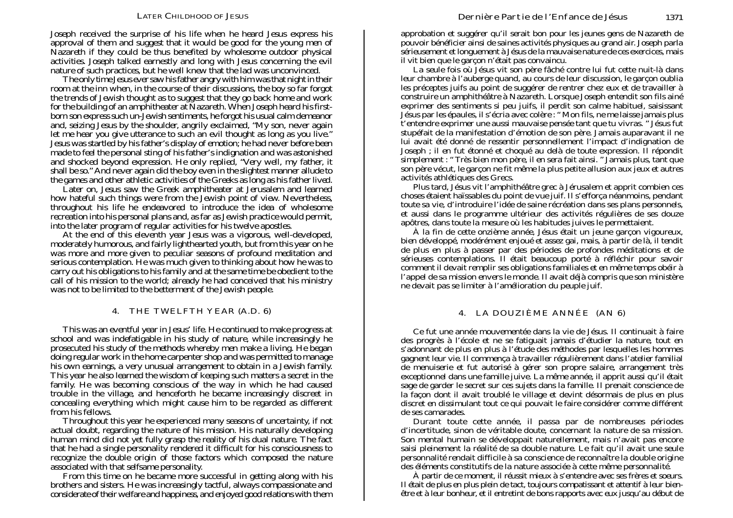Joseph received the surprise of his life when he heard Jesus express his approval of them and suggest that it would be good for the young men of Nazareth if they could be thus benefited by wholesome outdoor physical activities. Joseph talked earnestly and long with Jesus concerning the evil nature of such practices, but he well knew that the lad was unconvinced.

The only time Jesus ever saw his father angry with him was that night in their room at the inn when, in the course of their discussions, the boy so far forgot the trends of Jewish thought as to suggest that they go back home and work for the building of an amphitheater at Nazareth. When Joseph heard his firstborn son express such un-Jewish sentiments, he forgot his usual calm demeanor and, seizing Jesus by the shoulder, angrily exclaimed, "My son, never again let me hear you give utterance to such an evil thought as long as you live." Jesus was startled by his father's display of emotion; he had never before been made to feel the personal sting of his father's indignation and was astonished and shocked beyond expression. He only replied, "Very well, my father, it shall be so." And never again did the boy even in the slightest manner allude to the games and other athletic activities of the Greeks as long as his father lived.

Later on, Jesus saw the Greek amphitheater at Jerusalem and learned how hateful such things were from the Jewish point of view. Nevertheless, throughout his life he endeavored to introduce the idea of wholesome recreation into his personal plans and, as far as Jewish practice would permit, into the later program of regular activities for his twelve apostles.

At the end of this eleventh year Jesus was a vigorous, well-developed, moderately humorous, and fairly lighthearted youth, but from this year on he was more and more given to peculiar seasons of profound meditation and serious contemplation. He was much given to thinking about how he was to carry out his obligations to his family and at the same time be obedient to the call of his mission to the world; already he had conceived that his ministry was not to be limited to the betterment of the Jewish people.

#### 4. THE TWELFTH YEAR (A.D. 6)

This was an eventful year in Jesus' life. He continued to make progress at school and was indefatigable in his study of nature, while increasingly he prosecuted his study of the methods whereby men make a living. He began doing regular work in the home carpenter shop and was permitted to manage his own earnings, a very unusual arrangement to obtain in a Jewish family. This year he also learned the wisdom of keeping such matters a secret in the family. He was becoming conscious of the way in which he had caused trouble in the village, and henceforth he became increasingly discreet in concealing everything which might cause him to be regarded as different from his fellows.

Throughout this year he experienced many seasons of uncertainty, if not actual doubt, regarding the nature of his mission. His naturally developing human mind did not yet fully grasp the reality of his dual nature. The fact that he had a single personality rendered it difficult for his consciousness to recognize the double origin of those factors which composed the nature associated with that selfsame personality.

From this time on he became more successful in getting along with his brothers and sisters. He was increasingly tactful, always compassionate and considerate of their welfare and happiness, and enjoyed good relations with them approbation et suggérer qu'il serait bon pour les jeunes gens de Nazareth de pouvoir bénéficier ainsi de saines activités physiques au grand air. Joseph parla sérieusement et longuement à Jésus de la mauvaise nature de ces exercices, mais il vit bien que le garçon n'était pas convaincu.

La seule fois où Jésus vit son père fâché contre lui fut cette nuit-là dans leur chambre à l'auberge quand, au cours de leur discussion, le garçon oublia les préceptes juifs au point de suggérer de rentrer chez eux et de travailler à construire un amphithéâtre à Nazareth. Lorsque Joseph entendit son fils ainé exprimer des sentiments si peu juifs, il perdit son calme habituel, saisissant Jésus par les épaules, il s'écria avec colère : " Mon fils, ne me laisse jamais plus <sup>t</sup>'entendre exprimer une aussi mauvaise pensée tant que tu vivras. " Jésus fut stupéfait de la manifestation d'émotion de son père. Jamais auparavant il ne lui avait été donné de ressentir personnellement l'impact d'indignation de Joseph ; il en fut étonné et choqué au delà de toute expression. Il répondit simplement : " Très bien mon père, il en sera fait ainsi. " Jamais plus, tant que son père vécut, le garçon ne fit même la plus petite allusion aux jeux et autres activités athlétiques des Grecs.

Plus tard, Jésus vit l'amphithéâtre grec à Jérusalem et apprit combien ces choses étaient haïssables du point de vue juif. Il s'efforça néanmoins, pendant toute sa vie, d'introduire l'idée de saine récréation dans ses plans personnels, et aussi dans le programme ultérieur des activités régulières de ses douze apôtres, dans toute la mesure où les habitudes juives le permettaient. À la fin de cette onzième année, Jésus était un jeune garçon vigoureux,

bien développé, modérément enjoué et assez gai, mais, à partir de là, il tendit de plus en plus à passer par des périodes de profondes méditations et de sérieuses contemplations. Il était beaucoup porté à réfléchir pour savoir comment il devait remplir ses obligations familiales et en même temps obéir à l'appel de sa mission envers le monde. Il avait déjà compris que son ministère ne devait pas se limiter à l'amélioration du peuple juif.

#### 4. LA DOUZIÈME ANNÉE (AN 6)

Ce fut une année mouvementée dans la vie de Jésus. Il continuait à faire des progrès à l'école et ne se fatiguait jamais d'étudier la nature, tout en <sup>s</sup>'adonnant de plus en plus à l'étude des méthodes par lesquelles les hommes gagnent leur vie. Il commença à travailler régulièrement dans l'atelier familial de menuiserie et fut autorisé à gérer son propre salaire, arrangement très exceptionnel dans une famille juive. La même année, il apprit aussi qu'il était sage de garder le secret sur ces sujets dans la famille. Il prenait conscience de la façon dont il avait troublé le village et devint désormais de plus en plus discret en dissimulant tout ce qui pouvait le faire considérer comme différent de ses camarades.

Durant toute cette année, il passa par de nombreuses périodes d'incertitude, sinon de véritable doute, concernant la nature de sa mission. Son mental humain se développait naturellement, mais n'avait pas encore saisi pleinement la réalité de sa double nature. Le fait qu'il avait une seule personnalité rendait difficile à sa conscience de reconnaître la double origine

des éléments constitutifs de la nature associée à cette même personnalité. À partir de ce moment, il réussit mieux à s'entendre avec ses frères et soeurs. Il était de plus en plus plein de tact, toujours compatissant et attentif à leur bienêtre et à leur bonheur, et il entretint de bons rapports avec eux jusqu'au début de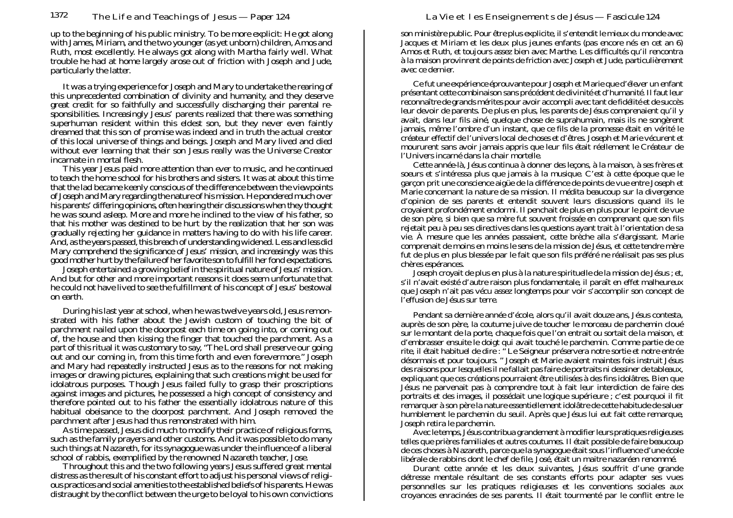up to the beginning of his public ministry. To be more explicit: He got along with James, Miriam, and the two younger (as yet unborn) children, Amos and Ruth, most excellently. He always got along with Martha fairly well. What trouble he had at home largely arose out of friction with Joseph and Jude, particularly the latter.

It was a trying experience for Joseph and Mary to undertake the rearing of this unprecedented combination of divinity and humanity, and they deserve great credit for so faithfully and successfully discharging their parental responsibilities. Increasingly Jesus' parents realized that there was something superhuman resident within this eldest son, but they never even faintly dreamed that this son of promise was indeed and in truth the actual creator of this local universe of things and beings. Joseph and Mary lived and died without ever learning that their son Jesus really was the Universe Creator incarnate in mortal flesh.

This year Jesus paid more attention than ever to music, and he continued to teach the home school for his brothers and sisters. It was at about this time that the lad became keenly conscious of the difference between the viewpoints of Joseph and Mary regarding the nature of his mission. He pondered much over his parents' differing opinions, often hearing their discussions when they thought he was sound asleep. More and more he inclined to the view of his father, so that his mother was destined to be hurt by the realization that her son was gradually rejecting her guidance in matters having to do with his life career. And, as the years passed, this breach of understanding widened. Less and less did Mary comprehend the significance of Jesus' mission, and increasingly was this good mother hurt by the failure of her favorite son to fulfill her fond expectations.

Joseph entertained a growing belief in the spiritual nature of Jesus' mission. And but for other and more important reasons it does seem unfortunate that he could not have lived to see the fulfillment of his concept of Jesus' bestowal on earth.

During his last year at school, when he was twelve years old, Jesus remonstrated with his father about the Jewish custom of touching the bit of parchment nailed upon the doorpost each time on going into, or coming out of, the house and then kissing the finger that touched the parchment. As a part of this ritual it was customary to say, "The Lord shall preserve our going out and our coming in, from this time forth and even forevermore." Joseph and Mary had repeatedly instructed Jesus as to the reasons for not making images or drawing pictures, explaining that such creations might be used for idolatrous purposes. Though Jesus failed fully to grasp their proscriptions against images and pictures, he possessed a high concept of consistency and therefore pointed out to his father the essentially idolatrous nature of this habitual obeisance to the doorpost parchment. And Joseph removed the parchment after Jesus had thus remonstrated with him.

As time passed, Jesus did much to modify their practice of religious forms, such as the family prayers and other customs. And it was possible to do many such things at Nazareth, for its synagogue was under the influence of a liberal school of rabbis, exemplified by the renowned Nazareth teacher, Jose.

Throughout this and the two following years Jesus suffered great mental distress as the result of his constant effort to adjust his personal views of religious practices and social amenities to the established beliefs of his parents. He was distraught by the conflict between the urge to be loyal to his own convictions son ministère public. Pour être plus explicite, il s'entendit le mieux du monde avec Jacques et Miriam et les deux plus jeunes enfants (pas encore nés en cet an 6) Amos et Ruth, et toujours assez bien avec Marthe. Les difficultés qu'il rencontra à la maison provinrent de points de friction avec Joseph et Jude, particulièrement avec ce dernier.

Ce fut une expérience éprouvante pour Joseph et Marie que d'élever un enfant présentant cette combinaison sans précédent de divinité et d'humanité. Il faut leur reconnaître de grands mérites pour avoir accompli avec tant de fidélité et de succès leur devoir de parents. De plus en plus, les parents de Jésus comprenaient qu'il y avait, dans leur fils ainé, quelque chose de suprahumain, mais ils ne songèrent jamais, même l'ombre d'un instant, que ce fils de la promesse était en vérité le créateur effectif de l'univers local de choses et d'êtres. Joseph et Marie vécurent et moururent sans avoir jamais appris que leur fils était réellement le Créateur de l'Univers incarné dans la chair mortelle.

Cette année-là, Jésus continua à donner des leçons, à la maison, à ses frères et soeurs et s'intéressa plus que jamais à la musique. C'est à cette époque que le garçon prit une conscience aigüe de la différence de points de vue entre Joseph et Marie concernant la nature de sa mission. Il médita beaucoup sur la divergence d'opinion de ses parents et entendit souvent leurs discussions quand ils le croyaient profondément endormi. Il penchait de plus en plus pour le point de vue de son père, si bien que sa mère fut souvent froissée en comprenant que son fils rejetait peu à peu ses directives dans les questions ayant trait à l'orientation de sa vie. À mesure que les années passaient, cette brèche alla s'élargissant. Marie comprenait de moins en moins le sens de la mission de Jésus, et cette tendre mère fut de plus en plus blessée par le fait que son fils préféré ne réalisait pas ses plus chères espérances.

Joseph croyait de plus en plus à la nature spirituelle de la mission de Jésus ; et, s'il n'avait existé d'autre raison plus fondamentale, il paraît en effet malheureux que Joseph n'ait pas vécu assez longtemps pour voir s'accomplir son concept de l'effusion de Jésus sur terre.

Pendant sa dernière année d'école, alors qu'il avait douze ans, Jésus contesta, auprès de son père, la coutume juive de toucher le morceau de parchemin cloué sur le montant de la porte, chaque fois que l'on entrait ou sortait de la maison, et d'embrasser ensuite le doigt qui avait touché le parchemin. Comme partie de ce rite, il était habituel de dire : " Le Seigneur préservera notre sortie et notre entrée désormais et pour toujours. " Joseph et Marie avaient maintes fois instruit Jésus des raisons pour lesquelles il ne fallait pas faire de portraits ni dessiner de tableaux, expliquant que ces créations pourraient être utilisées à des fins idolâtres. Bien que Jésus ne parvenait pas à comprendre tout à fait leur interdiction de faire des portraits et des images, il possédait une logique supérieure ; c'est pourquoi il fit remarquer à son père la nature essentiellement idolâtre de cette habitude de saluer humblement le parchemin du seuil. Après que Jésus lui eut fait cette remarque, Joseph retira le parchemin.

Avec le temps, Jésus contribua grandement à modifier leurs pratiques religieuses telles que prières familiales et autres coutumes. Il était possible de faire beaucoup de ces choses à Nazareth, parce que la synagogue était sous l'influence d'une école libérale de rabbins dont le chef de file, José, était un maitre nazaréen renommé.

Durant cette année et les deux suivantes, Jésus souffrit d'une grande détresse mentale résultant de ses constants efforts pour adapter ses vues personnelles sur les pratiques religieuses et les conventions sociales aux croyances enracinées de ses parents. Il était tourmenté par le conflit entre le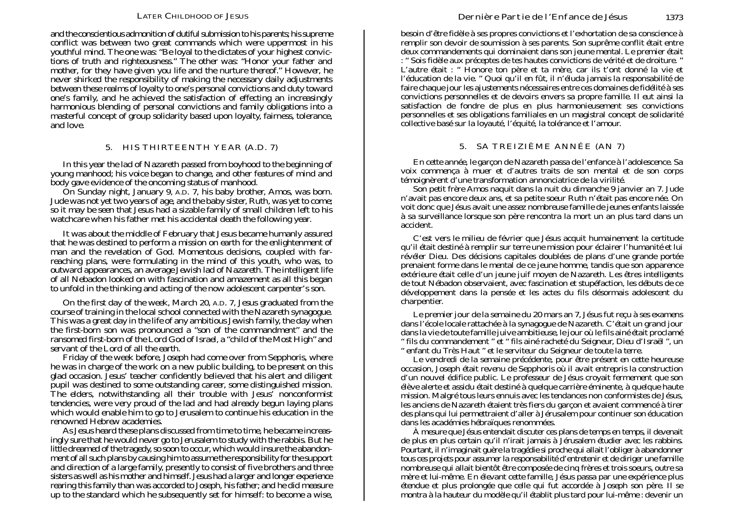and the conscientious admonition of dutiful submission to his parents; his supreme conflict was between two great commands which were uppermost in his youthful mind. The one was: "Be loyal to the dictates of your highest convictions of truth and righteousness." The other was: "Honor your father and mother, for they have given you life and the nurture thereof." However, he never shirked the responsibility of making the necessary daily adjustments between these realms of loyalty to one's personal convictions and duty toward one's family, and he achieved the satisfaction of effecting an increasingly harmonious blending of personal convictions and family obligations into a masterful concept of group solidarity based upon loyalty, fairness, tolerance, and love.

#### 5. HIS THIRTEENTH YEAR (A.D. 7)

In this year the lad of Nazareth passed from boyhood to the beginning of young manhood; his voice began to change, and other features of mind and body gave evidence of the oncoming status of manhood.

On Sunday night, January 9, A.D. 7, his baby brother, Amos, was born. Jude was not yet two years of age, and the baby sister, Ruth, was yet to come; so it may be seen that Jesus had a sizable family of small children left to his watchcare when his father met his accidental death the following year.

It was about the middle of February that Jesus became humanly assured that he was destined to perform a mission on earth for the enlightenment of man and the revelation of God. Momentous decisions, coupled with farreaching plans, were formulating in the mind of this youth, who was, to outward appearances, an average Jewish lad of Nazareth. The intelligent life of all Nebadon looked on with fascination and amazement as all this began to unfold in the thinking and acting of the now adolescent carpenter's son.

On the first day of the week, March 20, A.D. 7, Jesus graduated from the course of training in the local school connected with the Nazareth synagogue. This was a great day in the life of any ambitious Jewish family, the day when the first-born son was pronounced a "son of the commandment" and the ransomed first-born of the Lord God of Israel, a "child of the Most High" and servant of the Lord of all the earth.

Friday of the week before, Joseph had come over from Sepphoris, where he was in charge of the work on a new public building, to be present on this glad occasion. Jesus' teacher confidently believed that his alert and diligent pupil was destined to some outstanding career, some distinguished mission. The elders, notwithstanding all their trouble with Jesus' nonconformist tendencies, were very proud of the lad and had already begun laying plans which would enable him to go to Jerusalem to continue his education in the renowned Hebrew academies.

As Jesus heard these plans discussed from time to time, he became increasingly sure that he would never go to Jerusalem to study with the rabbis. But he little dreamed of the tragedy, so soon to occur, which would insure the abandonment of all such plans by causing him to assume the responsibility for the support and direction of a large family, presently to consist of five brothers and three sisters as well as his mother and himself. Jesus had a larger and longer experience rearing this family than was accorded to Joseph, his father; and he did measure up to the standard which he subsequently set for himself: to become a wise,

besoin d'être fidèle à ses propres convictions et l'exhortation de sa conscience à remplir son devoir de soumission à ses parents. Son suprême conflit était entre deux commandements qui dominaient dans son jeune mental. Le premier était : " Sois fidèle aux préceptes de tes hautes convictions de vérité et de droiture. " L'autre était : " Honore ton père et ta mère, car ils t'ont donné la vie et l'éducation de la vie. " Quoi qu'il en fût, il n'éluda jamais la responsabilité de faire chaque jour les ajustements nécessaires entre ces domaines de fidélité à ses convictions personnelles et de devoirs envers sa propre famille. Il eut ainsi la satisfaction de fondre de plus en plus harmonieusement ses convictions personnelles et ses obligations familiales en un magistral concept de solidarité collective basé sur la loyauté, l'équité, la tolérance et l'amour.

#### 5. SA TREIZIÈME ANNÉE (AN 7)

En cette année, le garçon de Nazareth passa de l'enfance à l'adolescence. Sa voix commença à muer et d'autres traits de son mental et de son corps témoignèrent d'une transformation annonciatrice de la virilité.

Son petit frère Amos naquit dans la nuit du dimanche 9 janvier an 7. Jude <sup>n</sup>'avait pas encore deux ans, et sa petite soeur Ruth n'était pas encore née. On voit donc que Jésus avait une assez nombreuse famille de jeunes enfants laissée à sa surveillance lorsque son père rencontra la mort un an plus tard dans un accident.

C'est vers le milieu de février que Jésus acquit humainement la certitude qu'il était destiné à remplir sur terre une mission pour éclairer l'humanité et lui révéler Dieu. Des décisions capitales doublées de plans d'une grande portée prenaient forme dans le mental de ce jeune homme, tandis que son apparence extérieure était celle d'un jeune juif moyen de Nazareth. Les êtres intelligents de tout Nébadon observaient, avec fascination et stupéfaction, les débuts de ce développement dans la pensée et les actes du fils désormais adolescent du charpentier.

Le premier jour de la semaine du 20 mars an 7, Jésus fut reçu à ses examens dans l'école locale rattachée à la synagogue de Nazareth. C'était un grand jour dans la vie de toute famille juive ambitieuse, le jour où le fils ainé était proclamé " fils du commandement " et " fils ainé racheté du Seigneur, Dieu d'Israël ", un " enfant du Très Haut " et le serviteur du Seigneur de toute la terre.

Le vendredi de la semaine précédente, pour être présent en cette heureuse occasion, Joseph était revenu de Sepphoris où il avait entrepris la construction d'un nouvel édifice public. Le professeur de Jésus croyait fermement que son élève alerte et assidu était destiné à quelque carrière éminente, à quelque haute mission. Malgré tous leurs ennuis avec les tendances non conformistes de Jésus, les anciens de Nazareth étaient très fiers du garçon et avaient commencé à tirer des plans qui lui permettraient d'aller à Jérusalem pour continuer son éducation dans les académies hébraïques renommées. À mesure que Jésus entendait discuter ces plans de temps en temps, il devenait

de plus en plus certain qu'il n'irait jamais à Jérusalem étudier avec les rabbins. Pourtant, il n'imaginait guère la tragédie si proche qui allait l'obliger à abandonner tous ces projets pour assumer la responsabilité d'entretenir et de diriger une famille nombreuse qui allait bientôt être composée de cinq frères et trois soeurs, outre sa mère et lui-même. En élevant cette famille, Jésus passa par une expérience plus étendue et plus prolongée que celle qui fut accordée à Joseph son père. Il se montra à la hauteur du modèle qu'il établit plus tard pour lui-même : devenir un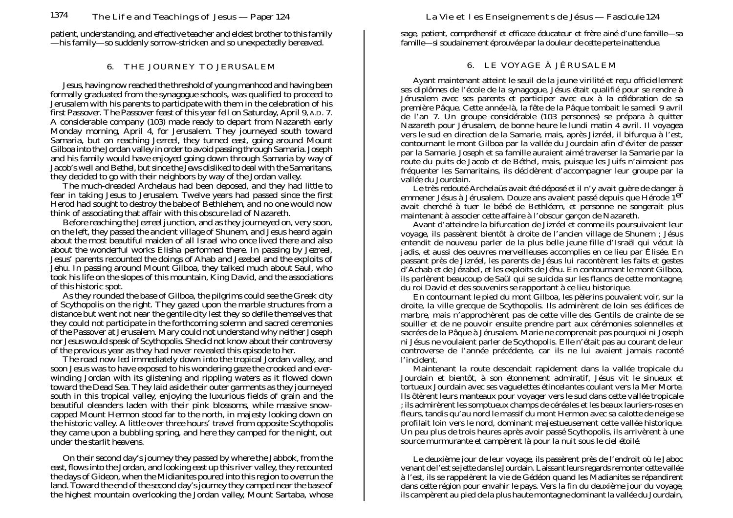patient, understanding, and effective teacher and eldest brother to this family —his family—so suddenly sorrow-stricken and so unexpectedly bereaved.

#### 6. THE JOURNEY TO JERUSALEM

Jesus, having now reached the threshold of young manhood and having been formally graduated from the synagogue schools, was qualified to proceed to Jerusalem with his parents to participate with them in the celebration of his first Passover. The Passover feast of this year fell on Saturday, April 9, A.D. 7. A considerable company (103) made ready to depart from Nazareth early Monday morning, April 4, for Jerusalem. They journeyed south toward Samaria, but on reaching Jezreel, they turned east, going around Mount Gilboa into the Jordan valley in order to avoid passing through Samaria. Joseph and his family would have enjoyed going down through Samaria by way of Jacob's well and Bethel, but since the Jews disliked to deal with the Samaritans, they decided to go with their neighbors by way of the Jordan valley.

The much-dreaded Archelaus had been deposed, and they had little to fear in taking Jesus to Jerusalem. Twelve years had passed since the first Herod had sought to destroy the babe of Bethlehem, and no one would now think of associating that affair with this obscure lad of Nazareth.

Before reaching the Jezreel junction, and as they journeyed on, very soon, on the left, they passed the ancient village of Shunem, and Jesus heard again about the most beautiful maiden of all Israel who once lived there and also about the wonderful works Elisha performed there. In passing by Jezreel, Jesus' parents recounted the doings of Ahab and Jezebel and the exploits of Jehu. In passing around Mount Gilboa, they talked much about Saul, who took his life on the slopes of this mountain, King David, and the associations of this historic spot.

As they rounded the base of Gilboa, the pilgrims could see the Greek city of Scythopolis on the right. They gazed upon the marble structures from a distance but went not near the gentile city lest they so defile themselves that they could not participate in the forthcoming solemn and sacred ceremonies of the Passover at Jerusalem. Mary could not understand why neither Joseph nor Jesus would speak of Scythopolis. She did not know about their controversy of the previous year as they had never revealed this episode to her.

The road now led immediately down into the tropical Jordan valley, and soon Jesus was to have exposed to his wondering gaze the crooked and everwinding Jordan with its glistening and rippling waters as it flowed down toward the Dead Sea. They laid aside their outer garments as they journeyed south in this tropical valley, enjoying the luxurious fields of grain and the beautiful oleanders laden with their pink blossoms, while massive snowcapped Mount Hermon stood far to the north, in majesty looking down on the historic valley. A little over three hours' travel from opposite Scythopolis they came upon a bubbling spring, and here they camped for the night, out under the starlit heavens.

On their second day's journey they passed by where the Jabbok, from the east, flows into the Jordan, and looking east up this river valley, they recounted the days of Gideon, when the Midianites poured into this region to overrun the land. Toward the end of the second day's journey they camped near the base of the highest mountain overlooking the Jordan valley, Mount Sartaba, whose sage, patient, compréhensif et efficace éducateur et frère ainé d'une famille—sa famille—si soudainement éprouvée par la douleur de cette perte inattendue.

#### 6. LE VOYAGE À JÉRUSALEM

Ayant maintenant atteint le seuil de la jeune virilité et reçu officiellement ses diplômes de l'école de la synagogue, Jésus était qualifié pour se rendre à Jérusalem avec ses parents et participer avec eux à la célébration de sa première Pâque. Cette année-là, la fête de la Pâque tombait le samedi 9 avril de l'an 7. Un groupe considérable (103 personnes) se prépara à quitter Nazareth pour Jérusalem, de bonne heure le lundi matin 4 avril. Il voyagea vers le sud en direction de la Samarie, mais, après Jizréel, il bifurqua à l'est, contournant le mont Gilboa par la vallée du Jourdain afin d'éviter de passer par la Samarie. Joseph et sa famille auraient aimé traverser la Samarie par la route du puits de Jacob et de Béthel, mais, puisque les Juifs n'aimaient pas fréquenter les Samaritains, ils décidèrent d'accompagner leur groupe par la vallée du Jourdain.

Le très redouté Archelaüs avait été déposé et il n'y avait guère de danger à emmener Jésus à Jérusalem. Douze ans avaient passé depuis que Hérode 1er avait cherché à tuer le bébé de Bethléem, et personne ne songerait plus maintenant à associer cette affaire à l'obscur garçon de Nazareth.

Avant d'atteindre la bifurcation de Jizréel et comme ils poursuivaient leur voyage, ils passèrent bientôt à droite de l'ancien village de Shunem ; Jésus jadis, et aussi des oeuvres merveilleuses accomplies en ce lieu par Élisée. En passant près de Jizréel, les parents de Jésus lui racontèrent les faits et gestes d'Achab et de Jézabel, et les exploits de Jéhu. En contournant le mont Gilboa, ils parlèrent beaucoup de Saül qui se suicida sur les flancs de cette montagne, du roi David et des souvenirs se rapportant à ce lieu historique.

En contournant le pied du mont Gilboa, les pèlerins pouvaient voir, sur la droite, la ville grecque de Scythopolis. Ils admirèrent de loin ses édifices de marbre, mais n'approchèrent pas de cette ville des Gentils de crainte de se souiller et de ne pouvoir ensuite prendre part aux cérémonies solennelles et sacrées de la Pâque à Jérusalem. Marie ne comprenait pas pourquoi ni Joseph ni Jésus ne voulaient parler de Scythopolis. Elle n'était pas au courant de leur controverse de l'année précédente, car ils ne lui avaient jamais raconté l'incident.

Maintenant la route descendait rapidement dans la vallée tropicale du Jourdain et bientôt, à son étonnement admiratif, Jésus vit le sinueux et tortueux Jourdain avec ses vaguelettes étincelantes coulant vers la Mer Morte. Ils ôtèrent leurs manteaux pour voyager vers le sud dans cette vallée tropicale ; ils admirèrent les somptueux champs de céréales et les beaux lauriers-roses en fleurs, tandis qu'au nord le massif du mont Hermon avec sa calotte de neige se profilait loin vers le nord, dominant majestueusement cette vallée historique. Un peu plus de trois heures après avoir passé Scythopolis, ils arrivèrent à une source murmurante et campèrent là pour la nuit sous le ciel étoilé.

Le deuxième jour de leur voyage, ils passèrent près de l'endroit où le Jaboc venant de l'est se jette dans le Jourdain. Laissant leurs regards remonter cette vallée à l'est, ils se rappelèrent la vie de Gédéon quand les Madianites se répandirent dans cette région pour envahir le pays. Vers la fin du deuxième jour du voyage, ils campèrent au pied de la plus haute montagne dominant la vallée du Jourdain,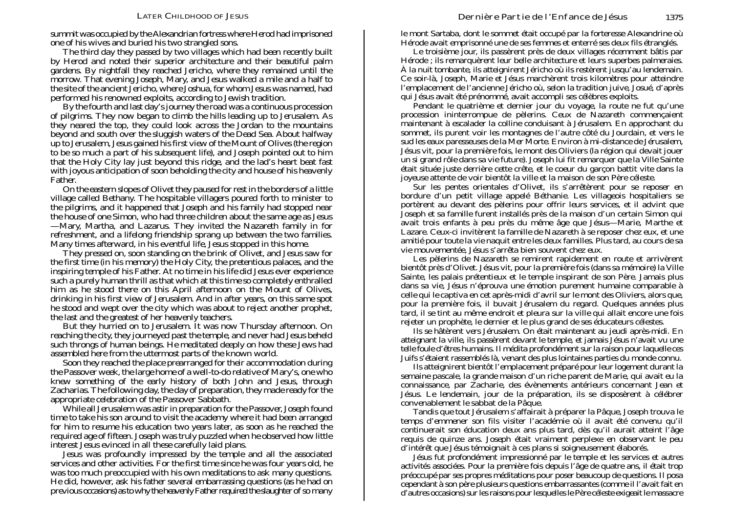summit was occupied by the Alexandrian fortress where Herod had imprisoned one of his wives and buried his two strangled sons.

The third day they passed by two villages which had been recently built by Herod and noted their superior architecture and their beautiful palm gardens. By nightfall they reached Jericho, where they remained until the morrow. That evening Joseph, Mary, and Jesus walked a mile and a half to the site of the ancient Jericho, where Joshua, for whom Jesus was named, had performed his renowned exploits, according to Jewish tradition.

By the fourth and last day's journey the road was a continuous procession of pilgrims. They now began to climb the hills leading up to Jerusalem. As they neared the top, they could look across the Jordan to the mountains beyond and south over the sluggish waters of the Dead Sea. About halfway up to Jerusalem, Jesus gained his first view of the Mount of Olives (the region<br>to be so much a part of his subsequent life), and Joseph pointed out to him that the Holy City lay just beyond this ridge, and the lad's heart beat fast with joyous anticipation of soon beholding the city and house of his heavenly Father.

On the eastern slopes of Olivet they paused for rest in the borders of a little village called Bethany. The hospitable villagers poured forth to minister to the pilgrims, and it happened that Joseph and his family had stopped near the house of one Simon, who had three children about the same age as Jesus —Mary, Martha, and Lazarus. They invited the Nazareth family in for refreshment, and a lifelong friendship sprang up between the two families. Many times afterward, in his eventful life, Jesus stopped in this home.

They pressed on, soon standing on the brink of Olivet, and Jesus saw for the first time (in his memory) the Holy City, the pretentious palaces, and the inspiring temple of his Father. At no time in his life did Jesus ever experience such a purely human thrill as that which at this time so completely enthralled him as he stood there on this April afternoon on the Mount of Olives, drinking in his first view of Jerusalem. And in after years, on this same spot he stood and wept over the city which was about to reject another prophet, the last and the greatest of her heavenly teachers.

But they hurried on to Jerusalem. It was now Thursday afternoon. On reaching the city, they journeyed past the temple, and never had Jesus beheld such throngs of human beings. He meditated deeply on how these Jews had assembled here from the uttermost parts of the known world.

Soon they reached the place prearranged for their accommodation during the Passover week, the large home of a well-to-do relative of Mary's, one who knew something of the early history of both John and Jesus, through Zacharias. The following day, the day of preparation, they made ready for the appropriate celebration of the Passover Sabbath.

While all Jerusalem was astir in preparation for the Passover, Joseph found time to take his son around to visit the academy where it had been arranged for him to resume his education two years later, as soon as he reached the required age of fifteen. Joseph was truly puzzled when he observed how little interest Jesus evinced in all these carefully laid plans.

Jesus was profoundly impressed by the temple and all the associated services and other activities. For the first time since he was four years old, he was too much preoccupied with his own meditations to ask many questions. He did, however, ask his father several embarrassing questions (as he had on previous occasions) as to why the heavenly Father required the slaughter of so many le mont Sartaba, dont le sommet était occupé par la forteresse Alexandrine où Hérode avait emprisonné une de ses femmes et enterré ses deux fils étranglés.

Le troisième jour, ils passèrent près de deux villages récemment bâtis par Hérode ; ils remarquèrent leur belle architecture et leurs superbes palmeraies. À la nuit tombante, ils atteignirent Jéricho où ils restèrent jusqu'au lendemain. Ce soir-là, Joseph, Marie et Jésus marchèrent trois kilomètres pour atteindre l'emplacement de l'ancienne Jéricho où, selon la tradition juive, Josué, d'après qui Jésus avait été prénommé, avait accompli ses célèbres exploits.

Pendant le quatrième et dernier jour du voyage, la route ne fut qu'une procession ininterrompue de pèlerins. Ceux de Nazareth commençaient maintenant à escalader la colline conduisant à Jérusalem. En approchant du sommet, ils purent voir les montagnes de l'autre côté du Jourdain, et vers le sud les eaux paresseuses de la Mer Morte. Environ à mi-distance de Jérusalem, Jésus vit, pour la première fois, le mont des Oliviers (la région qui devait jouer un si grand rôle dans sa vie future). Joseph lui fit remarquer que la Ville Sainte était située juste derrière cette crête, et le coeur du garçon battit vite dans la joyeuse attente de voir bientôt la ville et la maison de son Père céleste.

Sur les pentes orientales d'Olivet, ils s'arrêtèrent pour se reposer en bordure d'un petit village appelé Béthanie. Les villageois hospitaliers se portèrent au devant des pèlerins pour offrir leurs services, et il advint que Joseph et sa famille furent installés près de la maison d'un certain Simon qui avait trois enfants à peu près du même âge que Jésus—Marie, Marthe et Lazare. Ceux-ci invitèrent la famille de Nazareth à se reposer chez eux, et une amitié pour toute la vie naquit entre les deux familles. Plus tard, au cours de sa vie mouvementée, Jésus s'arrêta bien souvent chez eux.

Les pèlerins de Nazareth se remirent rapidement en route et arrivèrent bientôt près d'Olivet. Jésus vit, pour la première fois (dans sa mémoire) la Ville Sainte, les palais prétentieux et le temple inspirant de son Père. Jamais plus dans sa vie, Jésus n'éprouva une émotion purement humaine comparable à celle qui le captiva en cet après-midi d'avril sur le mont des Oliviers, alors que, pour la première fois, il buvait Jérusalem du regard. Quelques années plus tard, il se tint au même endroit et pleura sur la ville qui allait encore une fois rejeter un prophète, le dernier et le plus grand de ses éducateurs célestes.

Ils se hâtèrent vers Jérusalem. On était maintenant au jeudi après-midi. En atteignant la ville, ils passèrent devant le temple, et jamais Jésus n'avait vu une telle foule d'êtres humains. Il médita profondément sur la raison pour laquelle ces Juifs s'étaient rassemblés là, venant des plus lointaines parties du monde connu.

Ils atteignirent bientôt l'emplacement préparé pour leur logement durant la semaine pascale, la grande maison d'un riche parent de Marie, qui avait eu la connaissance, par Zacharie, des évènements antérieurs concernant Jean et Jésus. Le lendemain, jour de la préparation, ils se disposèrent à célébrer convenablement le sabbat de la Pâque.

Tandis que tout Jérusalem s'affairait à préparer la Pâque, Joseph trouva le temps d'emmener son fils visiter l'académie où il avait été convenu qu'il continuerait son éducation deux ans plus tard, dès qu'il aurait atteint l'âge requis de quinze ans. Joseph était vraiment perplexe en observant le peu d'intérêt que Jésus témoignait à ces plans si soigneusement élaborés.

Jésus fut profondément impressionné par le temple et les services et autres activités associées. Pour la première fois depuis l'âge de quatre ans, il était trop préoccupé par ses propres méditations pour poser beaucoup de questions. Il posa cependant à son père plusieurs questions embarrassantes (comme il l'avait fait en d'autres occasions) sur les raisons pour lesquelles le Père céleste exigeait le massacre